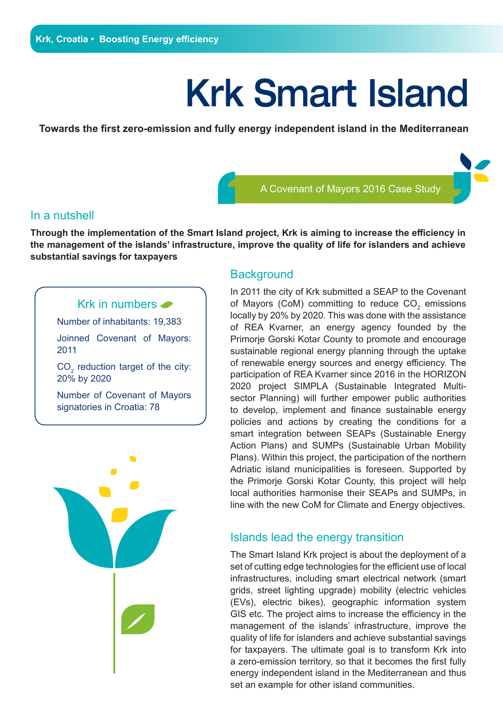# Krk Smart Island

**Towards the first zero-emission and fully energy independent island in the Mediterranean**

A Covenant of Mayors 2016 Case Study

#### In a nutshell

**Through the implementation of the Smart Island project, Krk is aiming to increase the efficiency in the management of the islands' infrastructure, improve the quality of life for islanders and achieve substantial savings for taxpayers**

## Krk in numbers

Number of inhabitants: 19,383

Joinned Covenant of Mayors: 2011

 $CO<sub>2</sub>$  reduction target of the city: 20% by 2020

Number of Covenant of Mayors signatories in Croatia: 78



# **Background**

In 2011 the city of Krk submitted a SEAP to the Covenant of Mayors (CoM) committing to reduce  $\mathsf{CO}_2$  emissions locally by 20% by 2020. This was done with the assistance of REA Kvarner, an energy agency founded by the Primorje Gorski Kotar County to promote and encourage sustainable regional energy planning through the uptake of renewable energy sources and energy efficiency. The participation of REA Kvarner since 2016 in the HORIZON 2020 project SIMPLA (Sustainable Integrated Multisector Planning) will further empower public authorities to develop, implement and finance sustainable energy policies and actions by creating the conditions for a smart integration between SEAPs (Sustainable Energy Action Plans) and SUMPs (Sustainable Urban Mobility Plans). Within this project, the participation of the northern Adriatic island municipalities is foreseen. Supported by the Primorje Gorski Kotar County, this project will help local authorities harmonise their SEAPs and SUMPs, in line with the new CoM for Climate and Energy objectives.

## Islands lead the energy transition

The Smart Island Krk project is about the deployment of a set of cutting edge technologies for the efficient use of local infrastructures, including smart electrical network (smart grids, street lighting upgrade) mobility (electric vehicles (EVs), electric bikes), geographic information system GIS etc. The project aims to increase the efficiency in the management of the islands' infrastructure, improve the quality of life for islanders and achieve substantial savings for taxpayers. The ultimate goal is to transform Krk into a zero-emission territory, so that it becomes the first fully energy independent island in the Mediterranean and thus set an example for other island communities.